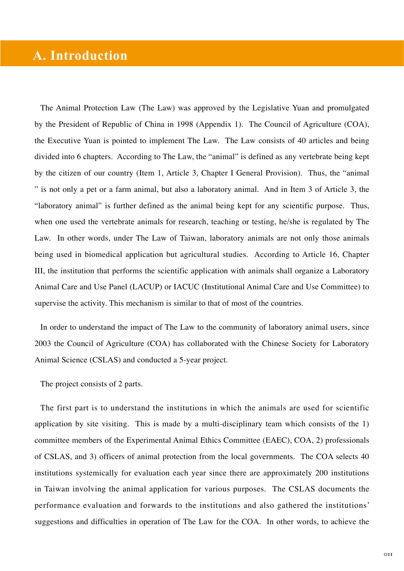## **A. Introduction**

The Animal Protection Law (The Law) was approved by the Legislative Yuan and promulgated by the President of Republic of China in 1998 (Appendix 1). The Council of Agriculture (COA), the Executive Yuan is pointed to implement The Law. The Law consists of 40 articles and being divided into 6 chapters. According to The Law, the "animal" is defined as any vertebrate being kept by the citizen of our country (Item 1, Article 3, Chapter I General Provision). Thus, the "animal " is not only a pet or a farm animal, but also a laboratory animal. And in Item 3 of Article 3, the "laboratory animal" is further defined as the animal being kept for any scientific purpose. Thus, when one used the vertebrate animals for research, teaching or testing, he/she is regulated by The Law. In other words, under The Law of Taiwan, laboratory animals are not only those animals being used in biomedical application but agricultural studies. According to Article 16, Chapter III, the institution that performs the scientific application with animals shall organize a Laboratory Animal Care and Use Panel (LACUP) or IACUC (Institutional Animal Care and Use Committee) to supervise the activity. This mechanism is similar to that of most of the countries.

In order to understand the impact of The Law to the community of laboratory animal users, since 2003 the Council of Agriculture (COA) has collaborated with the Chinese Society for Laboratory Animal Science (CSLAS) and conducted a 5-year project.

The project consists of 2 parts.

The first part is to understand the institutions in which the animals are used for scientific application by site visiting. This is made by a multi-disciplinary team which consists of the 1) committee members of the Experimental Animal Ethics Committee (EAEC), COA, 2) professionals of CSLAS, and 3) officers of animal protection from the local governments. The COA selects 40 institutions systemically for evaluation each year since there are approximately 200 institutions in Taiwan involving the animal application for various purposes. The CSLAS documents the performance evaluation and forwards to the institutions and also gathered the institutions' suggestions and difficulties in operation of The Law for the COA. In other words, to achieve the